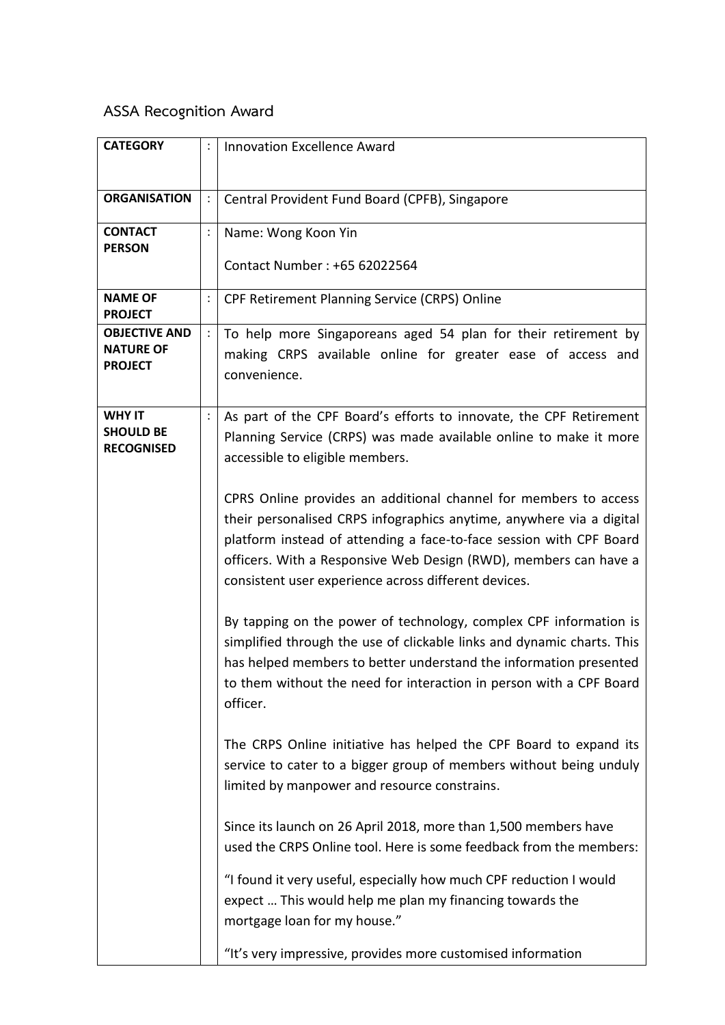## **ASSA Recognition Award**

| <b>CATEGORY</b>                                            |                | <b>Innovation Excellence Award</b>                                                                                                                                                                                                                                                                                                          |
|------------------------------------------------------------|----------------|---------------------------------------------------------------------------------------------------------------------------------------------------------------------------------------------------------------------------------------------------------------------------------------------------------------------------------------------|
| <b>ORGANISATION</b>                                        |                | Central Provident Fund Board (CPFB), Singapore                                                                                                                                                                                                                                                                                              |
| <b>CONTACT</b><br><b>PERSON</b>                            |                | Name: Wong Koon Yin<br>Contact Number: +65 62022564                                                                                                                                                                                                                                                                                         |
| <b>NAME OF</b><br><b>PROJECT</b>                           | $\ddot{\cdot}$ | CPF Retirement Planning Service (CRPS) Online                                                                                                                                                                                                                                                                                               |
| <b>OBJECTIVE AND</b><br><b>NATURE OF</b><br><b>PROJECT</b> | $\ddot{\cdot}$ | To help more Singaporeans aged 54 plan for their retirement by<br>making CRPS available online for greater ease of access and<br>convenience.                                                                                                                                                                                               |
| <b>WHY IT</b><br><b>SHOULD BE</b><br><b>RECOGNISED</b>     |                | As part of the CPF Board's efforts to innovate, the CPF Retirement<br>Planning Service (CRPS) was made available online to make it more<br>accessible to eligible members.                                                                                                                                                                  |
|                                                            |                | CPRS Online provides an additional channel for members to access<br>their personalised CRPS infographics anytime, anywhere via a digital<br>platform instead of attending a face-to-face session with CPF Board<br>officers. With a Responsive Web Design (RWD), members can have a<br>consistent user experience across different devices. |
|                                                            |                | By tapping on the power of technology, complex CPF information is<br>simplified through the use of clickable links and dynamic charts. This<br>has helped members to better understand the information presented<br>to them without the need for interaction in person with a CPF Board<br>officer.                                         |
|                                                            |                | The CRPS Online initiative has helped the CPF Board to expand its<br>service to cater to a bigger group of members without being unduly<br>limited by manpower and resource constrains.                                                                                                                                                     |
|                                                            |                | Since its launch on 26 April 2018, more than 1,500 members have<br>used the CRPS Online tool. Here is some feedback from the members:                                                                                                                                                                                                       |
|                                                            |                | "I found it very useful, especially how much CPF reduction I would<br>expect  This would help me plan my financing towards the<br>mortgage loan for my house."                                                                                                                                                                              |
|                                                            |                | "It's very impressive, provides more customised information                                                                                                                                                                                                                                                                                 |